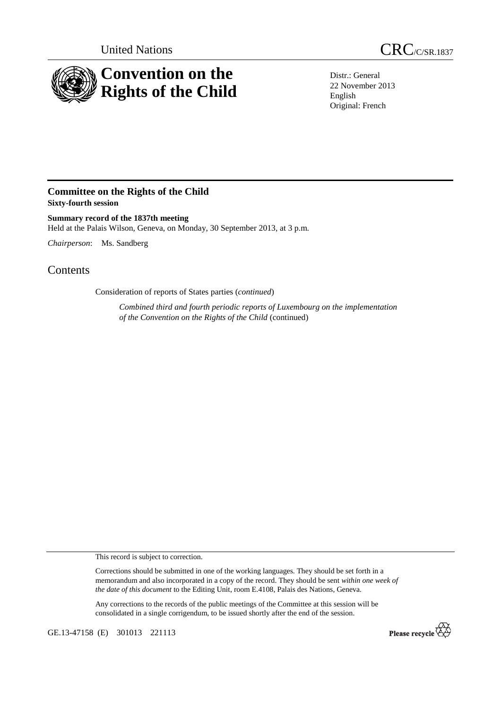

United Nations CRC/C/SR.1837

Distr.: General 22 November 2013 English Original: French

## **Committee on the Rights of the Child Sixty-fourth session**

**Summary record of the 1837th meeting**  Held at the Palais Wilson, Geneva, on Monday, 30 September 2013, at 3 p.m.

*Chairperson*: Ms. Sandberg

## **Contents**

Consideration of reports of States parties (*continued*)

*Combined third and fourth periodic reports of Luxembourg on the implementation of the Convention on the Rights of the Child* (continued)

This record is subject to correction.

Corrections should be submitted in one of the working languages. They should be set forth in a memorandum and also incorporated in a copy of the record. They should be sent *within one week of the date of this document* to the Editing Unit, room E.4108, Palais des Nations, Geneva.

Any corrections to the records of the public meetings of the Committee at this session will be consolidated in a single corrigendum, to be issued shortly after the end of the session.

GE.13-47158 (E) 301013 221113

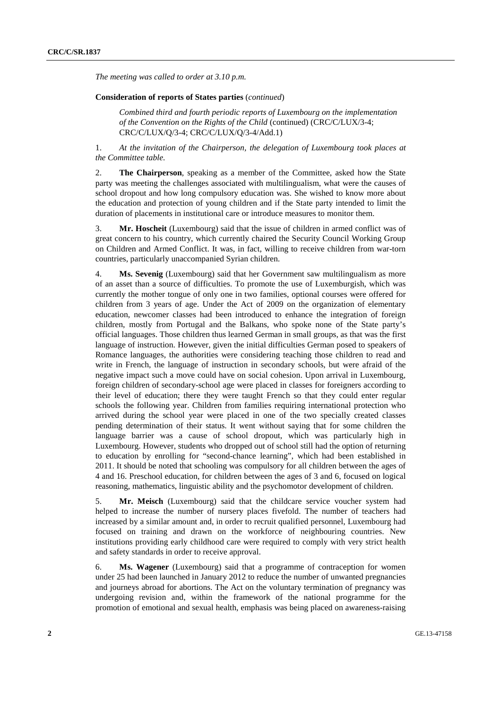*The meeting was called to order at 3.10 p.m.* 

## **Consideration of reports of States parties** (*continued*)

*Combined third and fourth periodic reports of Luxembourg on the implementation of the Convention on the Rights of the Child* (continued) (CRC/C/LUX/3-4; CRC/C/LUX/Q/3-4; CRC/C/LUX/Q/3-4/Add.1)

1. *At the invitation of the Chairperson, the delegation of Luxembourg took places at the Committee table.* 

2. **The Chairperson**, speaking as a member of the Committee, asked how the State party was meeting the challenges associated with multilingualism, what were the causes of school dropout and how long compulsory education was. She wished to know more about the education and protection of young children and if the State party intended to limit the duration of placements in institutional care or introduce measures to monitor them.

3. **Mr. Hoscheit** (Luxembourg) said that the issue of children in armed conflict was of great concern to his country, which currently chaired the Security Council Working Group on Children and Armed Conflict. It was, in fact, willing to receive children from war-torn countries, particularly unaccompanied Syrian children.

4. **Ms. Sevenig** (Luxembourg) said that her Government saw multilingualism as more of an asset than a source of difficulties. To promote the use of Luxemburgish, which was currently the mother tongue of only one in two families, optional courses were offered for children from 3 years of age. Under the Act of 2009 on the organization of elementary education, newcomer classes had been introduced to enhance the integration of foreign children, mostly from Portugal and the Balkans, who spoke none of the State party's official languages. Those children thus learned German in small groups, as that was the first language of instruction. However, given the initial difficulties German posed to speakers of Romance languages, the authorities were considering teaching those children to read and write in French, the language of instruction in secondary schools, but were afraid of the negative impact such a move could have on social cohesion. Upon arrival in Luxembourg, foreign children of secondary-school age were placed in classes for foreigners according to their level of education; there they were taught French so that they could enter regular schools the following year. Children from families requiring international protection who arrived during the school year were placed in one of the two specially created classes pending determination of their status. It went without saying that for some children the language barrier was a cause of school dropout, which was particularly high in Luxembourg. However, students who dropped out of school still had the option of returning to education by enrolling for "second-chance learning", which had been established in 2011. It should be noted that schooling was compulsory for all children between the ages of 4 and 16. Preschool education, for children between the ages of 3 and 6, focused on logical reasoning, mathematics, linguistic ability and the psychomotor development of children.

5. **Mr. Meisch** (Luxembourg) said that the childcare service voucher system had helped to increase the number of nursery places fivefold. The number of teachers had increased by a similar amount and, in order to recruit qualified personnel, Luxembourg had focused on training and drawn on the workforce of neighbouring countries. New institutions providing early childhood care were required to comply with very strict health and safety standards in order to receive approval.

6. **Ms. Wagener** (Luxembourg) said that a programme of contraception for women under 25 had been launched in January 2012 to reduce the number of unwanted pregnancies and journeys abroad for abortions. The Act on the voluntary termination of pregnancy was undergoing revision and, within the framework of the national programme for the promotion of emotional and sexual health, emphasis was being placed on awareness-raising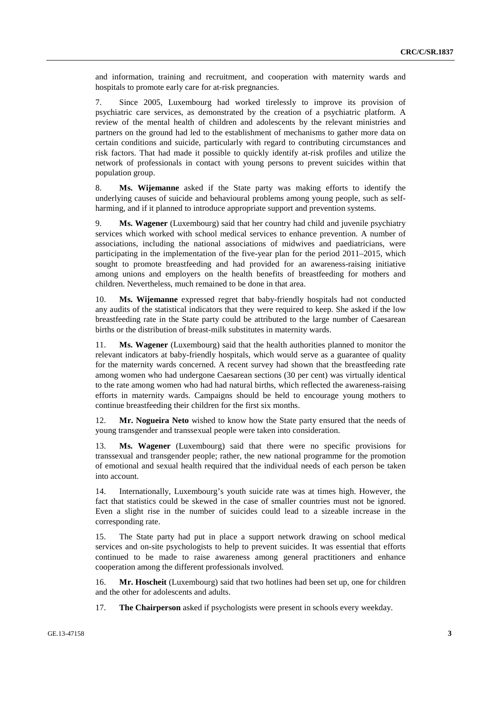and information, training and recruitment, and cooperation with maternity wards and hospitals to promote early care for at-risk pregnancies.

7. Since 2005, Luxembourg had worked tirelessly to improve its provision of psychiatric care services, as demonstrated by the creation of a psychiatric platform. A review of the mental health of children and adolescents by the relevant ministries and partners on the ground had led to the establishment of mechanisms to gather more data on certain conditions and suicide, particularly with regard to contributing circumstances and risk factors. That had made it possible to quickly identify at-risk profiles and utilize the network of professionals in contact with young persons to prevent suicides within that population group.

8. **Ms. Wijemanne** asked if the State party was making efforts to identify the underlying causes of suicide and behavioural problems among young people, such as selfharming, and if it planned to introduce appropriate support and prevention systems.

9. **Ms. Wagener** (Luxembourg) said that her country had child and juvenile psychiatry services which worked with school medical services to enhance prevention. A number of associations, including the national associations of midwives and paediatricians, were participating in the implementation of the five-year plan for the period 2011–2015, which sought to promote breastfeeding and had provided for an awareness-raising initiative among unions and employers on the health benefits of breastfeeding for mothers and children. Nevertheless, much remained to be done in that area.

10. **Ms. Wijemanne** expressed regret that baby-friendly hospitals had not conducted any audits of the statistical indicators that they were required to keep. She asked if the low breastfeeding rate in the State party could be attributed to the large number of Caesarean births or the distribution of breast-milk substitutes in maternity wards.

11. **Ms. Wagener** (Luxembourg) said that the health authorities planned to monitor the relevant indicators at baby-friendly hospitals, which would serve as a guarantee of quality for the maternity wards concerned. A recent survey had shown that the breastfeeding rate among women who had undergone Caesarean sections (30 per cent) was virtually identical to the rate among women who had had natural births, which reflected the awareness-raising efforts in maternity wards. Campaigns should be held to encourage young mothers to continue breastfeeding their children for the first six months.

12. **Mr. Nogueira Neto** wished to know how the State party ensured that the needs of young transgender and transsexual people were taken into consideration.

13. **Ms. Wagener** (Luxembourg) said that there were no specific provisions for transsexual and transgender people; rather, the new national programme for the promotion of emotional and sexual health required that the individual needs of each person be taken into account.

14. Internationally, Luxembourg's youth suicide rate was at times high. However, the fact that statistics could be skewed in the case of smaller countries must not be ignored. Even a slight rise in the number of suicides could lead to a sizeable increase in the corresponding rate.

15. The State party had put in place a support network drawing on school medical services and on-site psychologists to help to prevent suicides. It was essential that efforts continued to be made to raise awareness among general practitioners and enhance cooperation among the different professionals involved.

16. **Mr. Hoscheit** (Luxembourg) said that two hotlines had been set up, one for children and the other for adolescents and adults.

17. **The Chairperson** asked if psychologists were present in schools every weekday.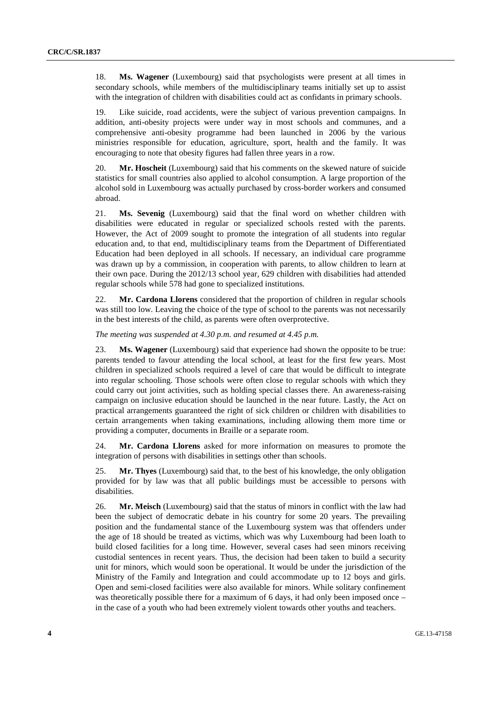18. **Ms. Wagener** (Luxembourg) said that psychologists were present at all times in secondary schools, while members of the multidisciplinary teams initially set up to assist with the integration of children with disabilities could act as confidants in primary schools.

19. Like suicide, road accidents, were the subject of various prevention campaigns. In addition, anti-obesity projects were under way in most schools and communes, and a comprehensive anti-obesity programme had been launched in 2006 by the various ministries responsible for education, agriculture, sport, health and the family. It was encouraging to note that obesity figures had fallen three years in a row.

20. **Mr. Hoscheit** (Luxembourg) said that his comments on the skewed nature of suicide statistics for small countries also applied to alcohol consumption. A large proportion of the alcohol sold in Luxembourg was actually purchased by cross-border workers and consumed abroad.

21. **Ms. Sevenig** (Luxembourg) said that the final word on whether children with disabilities were educated in regular or specialized schools rested with the parents. However, the Act of 2009 sought to promote the integration of all students into regular education and, to that end, multidisciplinary teams from the Department of Differentiated Education had been deployed in all schools. If necessary, an individual care programme was drawn up by a commission, in cooperation with parents, to allow children to learn at their own pace. During the 2012/13 school year, 629 children with disabilities had attended regular schools while 578 had gone to specialized institutions.

22. **Mr. Cardona Llorens** considered that the proportion of children in regular schools was still too low. Leaving the choice of the type of school to the parents was not necessarily in the best interests of the child, as parents were often overprotective.

*The meeting was suspended at 4.30 p.m. and resumed at 4.45 p.m.* 

23. **Ms. Wagener** (Luxembourg) said that experience had shown the opposite to be true: parents tended to favour attending the local school, at least for the first few years. Most children in specialized schools required a level of care that would be difficult to integrate into regular schooling. Those schools were often close to regular schools with which they could carry out joint activities, such as holding special classes there. An awareness-raising campaign on inclusive education should be launched in the near future. Lastly, the Act on practical arrangements guaranteed the right of sick children or children with disabilities to certain arrangements when taking examinations, including allowing them more time or providing a computer, documents in Braille or a separate room.

24. **Mr. Cardona Llorens** asked for more information on measures to promote the integration of persons with disabilities in settings other than schools.

25. **Mr. Thyes** (Luxembourg) said that, to the best of his knowledge, the only obligation provided for by law was that all public buildings must be accessible to persons with disabilities.

26. **Mr. Meisch** (Luxembourg) said that the status of minors in conflict with the law had been the subject of democratic debate in his country for some 20 years. The prevailing position and the fundamental stance of the Luxembourg system was that offenders under the age of 18 should be treated as victims, which was why Luxembourg had been loath to build closed facilities for a long time. However, several cases had seen minors receiving custodial sentences in recent years. Thus, the decision had been taken to build a security unit for minors, which would soon be operational. It would be under the jurisdiction of the Ministry of the Family and Integration and could accommodate up to 12 boys and girls. Open and semi-closed facilities were also available for minors. While solitary confinement was theoretically possible there for a maximum of 6 days, it had only been imposed once – in the case of a youth who had been extremely violent towards other youths and teachers.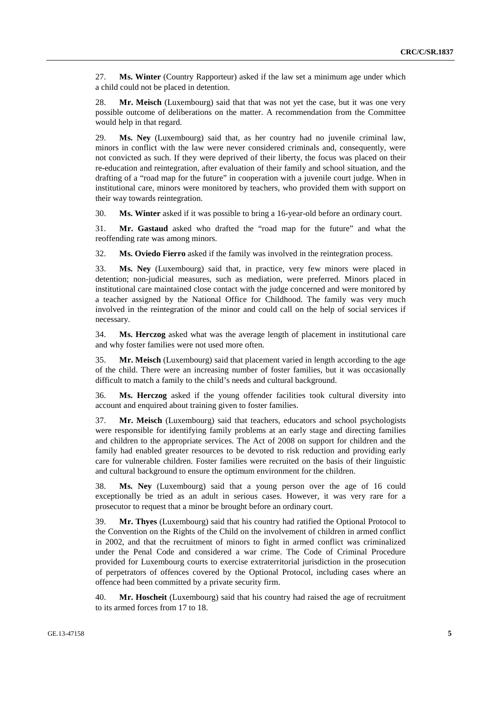27. **Ms. Winter** (Country Rapporteur) asked if the law set a minimum age under which a child could not be placed in detention.

28. **Mr. Meisch** (Luxembourg) said that that was not yet the case, but it was one very possible outcome of deliberations on the matter. A recommendation from the Committee would help in that regard.

29. **Ms. Ney** (Luxembourg) said that, as her country had no juvenile criminal law, minors in conflict with the law were never considered criminals and, consequently, were not convicted as such. If they were deprived of their liberty, the focus was placed on their re-education and reintegration, after evaluation of their family and school situation, and the drafting of a "road map for the future" in cooperation with a juvenile court judge. When in institutional care, minors were monitored by teachers, who provided them with support on their way towards reintegration.

30. **Ms. Winter** asked if it was possible to bring a 16-year-old before an ordinary court.

31. **Mr. Gastaud** asked who drafted the "road map for the future" and what the reoffending rate was among minors.

32. **Ms. Oviedo Fierro** asked if the family was involved in the reintegration process.

33. **Ms. Ney** (Luxembourg) said that, in practice, very few minors were placed in detention; non-judicial measures, such as mediation, were preferred. Minors placed in institutional care maintained close contact with the judge concerned and were monitored by a teacher assigned by the National Office for Childhood. The family was very much involved in the reintegration of the minor and could call on the help of social services if necessary.

34. **Ms. Herczog** asked what was the average length of placement in institutional care and why foster families were not used more often.

35. **Mr. Meisch** (Luxembourg) said that placement varied in length according to the age of the child. There were an increasing number of foster families, but it was occasionally difficult to match a family to the child's needs and cultural background.

36. **Ms. Herczog** asked if the young offender facilities took cultural diversity into account and enquired about training given to foster families.

37. **Mr. Meisch** (Luxembourg) said that teachers, educators and school psychologists were responsible for identifying family problems at an early stage and directing families and children to the appropriate services. The Act of 2008 on support for children and the family had enabled greater resources to be devoted to risk reduction and providing early care for vulnerable children. Foster families were recruited on the basis of their linguistic and cultural background to ensure the optimum environment for the children.

38. **Ms. Ney** (Luxembourg) said that a young person over the age of 16 could exceptionally be tried as an adult in serious cases. However, it was very rare for a prosecutor to request that a minor be brought before an ordinary court.

39. **Mr. Thyes** (Luxembourg) said that his country had ratified the Optional Protocol to the Convention on the Rights of the Child on the involvement of children in armed conflict in 2002, and that the recruitment of minors to fight in armed conflict was criminalized under the Penal Code and considered a war crime. The Code of Criminal Procedure provided for Luxembourg courts to exercise extraterritorial jurisdiction in the prosecution of perpetrators of offences covered by the Optional Protocol, including cases where an offence had been committed by a private security firm.

40. **Mr. Hoscheit** (Luxembourg) said that his country had raised the age of recruitment to its armed forces from 17 to 18.